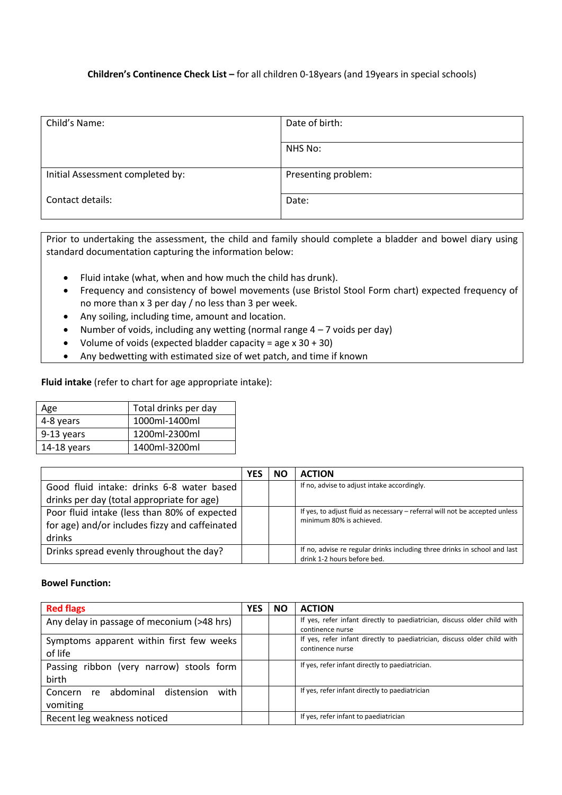## **Children's Continence Check List –** for all children 0-18years (and 19years in special schools)

| Date of birth:      |
|---------------------|
|                     |
| NHS No:             |
|                     |
| Presenting problem: |
|                     |
| Date:               |
|                     |
|                     |

Prior to undertaking the assessment, the child and family should complete a bladder and bowel diary using standard documentation capturing the information below:

- Fluid intake (what, when and how much the child has drunk).
- Frequency and consistency of bowel movements (use Bristol Stool Form chart) expected frequency of no more than x 3 per day / no less than 3 per week.
- Any soiling, including time, amount and location.
- Number of voids, including any wetting (normal range  $4 7$  voids per day)
- Volume of voids (expected bladder capacity = age  $x$  30 + 30)
- Any bedwetting with estimated size of wet patch, and time if known

**Fluid intake** (refer to chart for age appropriate intake):

| Age         | Total drinks per day |
|-------------|----------------------|
| 4-8 years   | 1000ml-1400ml        |
| 9-13 years  | 1200ml-2300ml        |
| 14-18 years | 1400ml-3200ml        |

|                                                | ΝC | <b>ACTION</b>                                                                                            |
|------------------------------------------------|----|----------------------------------------------------------------------------------------------------------|
| Good fluid intake: drinks 6-8 water based      |    | If no, advise to adjust intake accordingly.                                                              |
| drinks per day (total appropriate for age)     |    |                                                                                                          |
| Poor fluid intake (less than 80% of expected   |    | If yes, to adjust fluid as necessary - referral will not be accepted unless                              |
| for age) and/or includes fizzy and caffeinated |    | minimum 80% is achieved.                                                                                 |
| drinks                                         |    |                                                                                                          |
| Drinks spread evenly throughout the day?       |    | If no, advise re regular drinks including three drinks in school and last<br>drink 1-2 hours before bed. |

## **Bowel Function:**

| <b>Red flags</b>                                          | <b>YES</b> | <b>NO</b> | <b>ACTION</b>                                                                                |
|-----------------------------------------------------------|------------|-----------|----------------------------------------------------------------------------------------------|
| Any delay in passage of meconium (>48 hrs)                |            |           | If yes, refer infant directly to paediatrician, discuss older child with<br>continence nurse |
| Symptoms apparent within first few weeks<br>of life       |            |           | If yes, refer infant directly to paediatrician, discuss older child with<br>continence nurse |
| Passing ribbon (very narrow) stools form<br>birth         |            |           | If yes, refer infant directly to paediatrician.                                              |
| with<br>abdominal<br>distension<br>Concern re<br>vomiting |            |           | If yes, refer infant directly to paediatrician                                               |
| Recent leg weakness noticed                               |            |           | If yes, refer infant to paediatrician                                                        |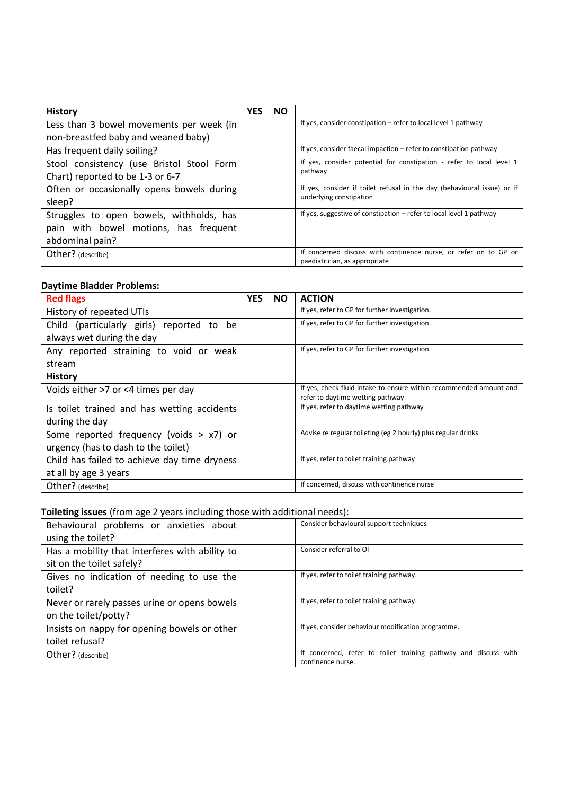| <b>History</b>                            | <b>YES</b> | <b>NO</b> |                                                                         |
|-------------------------------------------|------------|-----------|-------------------------------------------------------------------------|
| Less than 3 bowel movements per week (in  |            |           | If yes, consider constipation – refer to local level 1 pathway          |
| non-breastfed baby and weaned baby)       |            |           |                                                                         |
| Has frequent daily soiling?               |            |           | If yes, consider faecal impaction - refer to constipation pathway       |
| Stool consistency (use Bristol Stool Form |            |           | If yes, consider potential for constipation - refer to local level 1    |
| Chart) reported to be 1-3 or 6-7          |            |           | pathway                                                                 |
| Often or occasionally opens bowels during |            |           | If yes, consider if toilet refusal in the day (behavioural issue) or if |
| sleep?                                    |            |           | underlying constipation                                                 |
| Struggles to open bowels, withholds, has  |            |           | If yes, suggestive of constipation – refer to local level 1 pathway     |
| pain with bowel motions, has frequent     |            |           |                                                                         |
| abdominal pain?                           |            |           |                                                                         |
| Other? (describe)                         |            |           | If concerned discuss with continence nurse, or refer on to GP or        |
|                                           |            |           | paediatrician, as appropriate                                           |

# **Daytime Bladder Problems:**

| <b>Red flags</b>                             | <b>YES</b> | <b>NO</b> | <b>ACTION</b>                                                                                          |
|----------------------------------------------|------------|-----------|--------------------------------------------------------------------------------------------------------|
| History of repeated UTIs                     |            |           | If yes, refer to GP for further investigation.                                                         |
| Child (particularly girls) reported to<br>be |            |           | If yes, refer to GP for further investigation.                                                         |
| always wet during the day                    |            |           |                                                                                                        |
| Any reported straining to void or weak       |            |           | If yes, refer to GP for further investigation.                                                         |
| stream                                       |            |           |                                                                                                        |
| <b>History</b>                               |            |           |                                                                                                        |
| Voids either >7 or <4 times per day          |            |           | If yes, check fluid intake to ensure within recommended amount and<br>refer to daytime wetting pathway |
| Is toilet trained and has wetting accidents  |            |           | If yes, refer to daytime wetting pathway                                                               |
| during the day                               |            |           |                                                                                                        |
| Some reported frequency (voids $> x7$ ) or   |            |           | Advise re regular toileting (eg 2 hourly) plus regular drinks                                          |
| urgency (has to dash to the toilet)          |            |           |                                                                                                        |
| Child has failed to achieve day time dryness |            |           | If yes, refer to toilet training pathway                                                               |
| at all by age 3 years                        |            |           |                                                                                                        |
| Other? (describe)                            |            |           | If concerned, discuss with continence nurse                                                            |

## **Toileting issues** (from age 2 years including those with additional needs):

| Behavioural problems or anxieties about<br>using the toilet?                | Consider behavioural support techniques                                              |
|-----------------------------------------------------------------------------|--------------------------------------------------------------------------------------|
| Has a mobility that interferes with ability to<br>sit on the toilet safely? | Consider referral to OT                                                              |
| Gives no indication of needing to use the<br>toilet?                        | If yes, refer to toilet training pathway.                                            |
| Never or rarely passes urine or opens bowels<br>on the toilet/potty?        | If yes, refer to toilet training pathway.                                            |
| Insists on nappy for opening bowels or other<br>toilet refusal?             | If yes, consider behaviour modification programme.                                   |
| Other? (describe)                                                           | If concerned, refer to toilet training pathway and discuss with<br>continence nurse. |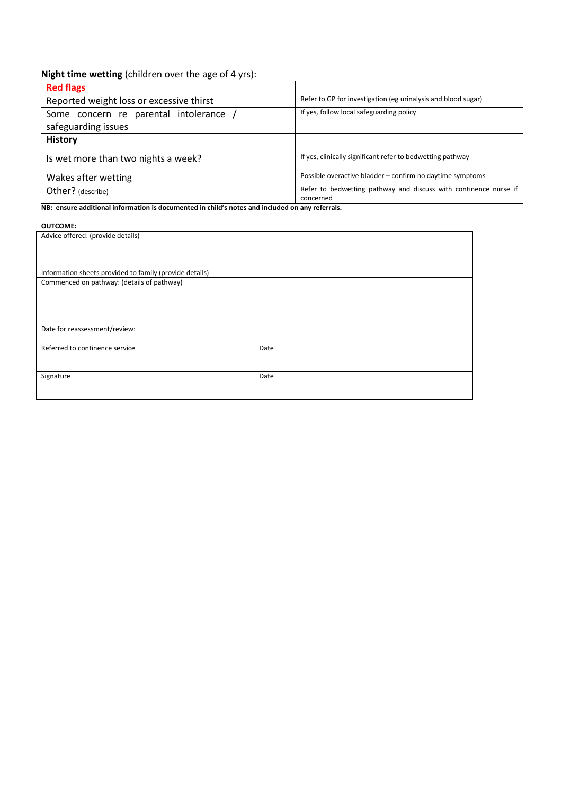# **Night time wetting** (children over the age of 4 yrs):

| <b>Red flags</b>                         |                                                                               |
|------------------------------------------|-------------------------------------------------------------------------------|
| Reported weight loss or excessive thirst | Refer to GP for investigation (eg urinalysis and blood sugar)                 |
| Some concern re parental intolerance     | If yes, follow local safeguarding policy                                      |
| safeguarding issues                      |                                                                               |
| <b>History</b>                           |                                                                               |
| Is wet more than two nights a week?      | If yes, clinically significant refer to bedwetting pathway                    |
| Wakes after wetting                      | Possible overactive bladder – confirm no daytime symptoms                     |
| Other? (describe)                        | Refer to bedwetting pathway and discuss with continence nurse if<br>concerned |

**NB: ensure additional information is documented in child's notes and included on any referrals.**

### **OUTCOME:**

| Advice offered: (provide details)                       |      |  |  |  |
|---------------------------------------------------------|------|--|--|--|
| Information sheets provided to family (provide details) |      |  |  |  |
| Commenced on pathway: (details of pathway)              |      |  |  |  |
|                                                         |      |  |  |  |
| Date for reassessment/review:                           |      |  |  |  |
| Referred to continence service                          | Date |  |  |  |
| Signature                                               | Date |  |  |  |